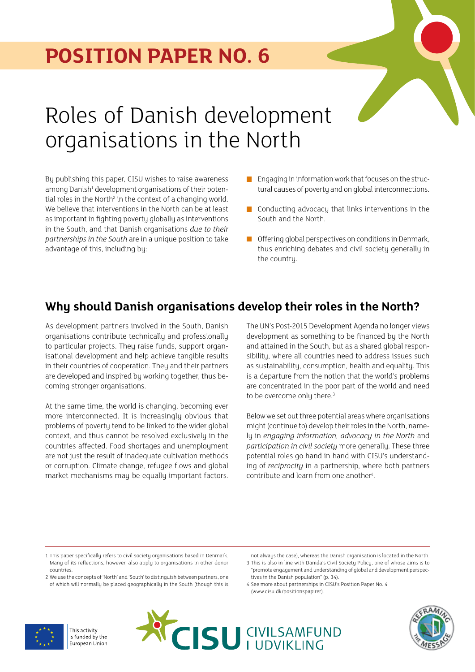## **POSITION PAPER NO. 6**

# Roles of Danish development organisations in the North

By publishing this paper, CISU wishes to raise awareness among Danish<sup>1</sup> development organisations of their potential roles in the North<sup>2</sup> in the context of a changing world. We believe that interventions in the North can be at least as important in fighting poverty globally as interventions in the South, and that Danish organisations *due to their partnerships in the South* are in a unique position to take advantage of this, including by:

- Engaging in information work that focuses on the structural causes of poverty and on global interconnections.
- **Conducting advocacy that links interventions in the** South and the North.
- $\blacksquare$  Offering global perspectives on conditions in Denmark, thus enriching debates and civil society generally in the country.

## **Why should Danish organisations develop their roles in the North?**

As development partners involved in the South, Danish organisations contribute technically and professionally to particular projects. They raise funds, support organisational development and help achieve tangible results in their countries of cooperation. They and their partners are developed and inspired by working together, thus becoming stronger organisations.

At the same time, the world is changing, becoming ever more interconnected. It is increasingly obvious that problems of poverty tend to be linked to the wider global context, and thus cannot be resolved exclusively in the countries affected. Food shortages and unemployment are not just the result of inadequate cultivation methods or corruption. Climate change, refugee flows and global market mechanisms may be equally important factors. The UN's Post-2015 Development Agenda no longer views development as something to be financed by the North and attained in the South, but as a shared global responsibility, where all countries need to address issues such as sustainability, consumption, health and equality. This is a departure from the notion that the world's problems are concentrated in the poor part of the world and need to be overcome only there.<sup>3</sup>

Below we set out three potential areas where organisations might (continue to) develop their roles in the North, namely in *engaging information, advocacy in the North* and *participation in civil society* more generally. These three potential roles go hand in hand with CISU's understanding of *reciprocity* in a partnership, where both partners contribute and learn from one another<sup>4</sup>.

4 See more about partnerships in CISU's Position Paper No. 4 (www.cisu.dk/positionspapirer).







<sup>1</sup> This paper specifically refers to civil society organisations based in Denmark. Many of its reflections, however, also apply to organisations in other donor countries.

<sup>2</sup> We use the concepts of 'North' and 'South' to distinguish between partners, one of which will normally be placed geographically in the South (though this is

not always the case), whereas the Danish organisation is located in the North. 3 This is also in line with Danida's Civil Society Policy, one of whose aims is to

<sup>&</sup>quot;promote engagement and understanding of global and development perspectives in the Danish population" (p. 34).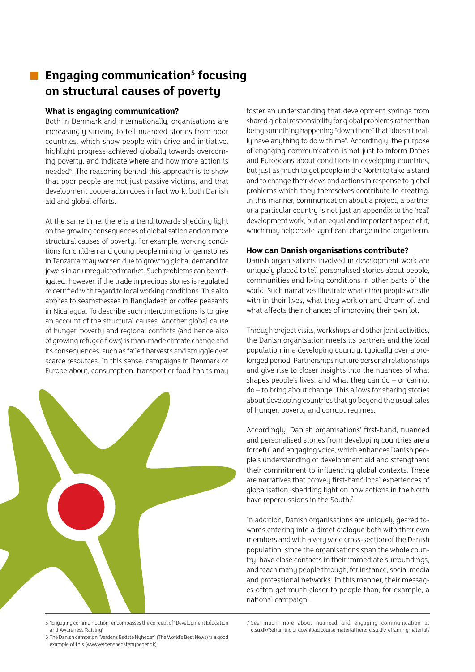## **Engaging communication5 focusing on structural causes of poverty**

#### **What is engaging communication?**

Both in Denmark and internationally, organisations are increasingly striving to tell nuanced stories from poor countries, which show people with drive and initiative, highlight progress achieved globally towards overcoming poverty, and indicate where and how more action is needed<sup>6</sup>. The reasoning behind this approach is to show that poor people are not just passive victims, and that development cooperation does in fact work, both Danish aid and global efforts.

At the same time, there is a trend towards shedding light on the growing consequences of globalisation and on more structural causes of poverty. For example, working conditions for children and young people mining for gemstones in Tanzania may worsen due to growing global demand for jewels in an unregulated market. Such problems can be mitigated, however, if the trade in precious stones is regulated or certified with regard to local working conditions. This also applies to seamstresses in Bangladesh or coffee peasants in Nicaragua. To describe such interconnections is to give an account of the structural causes. Another global cause of hunger, poverty and regional conflicts (and hence also of growing refugee flows) is man-made climate change and its consequences, such as failed harvests and struggle over scarce resources. In this sense, campaigns in Denmark or Europe about, consumption, transport or food habits may



5 "Engaging communication" encompasses the concept of "Development Education and Awareness Raising"

foster an understanding that development springs from shared global responsibility for global problems rather than being something happening "down there" that "doesn't really have anything to do with me". Accordingly, the purpose of engaging communication is not just to inform Danes and Europeans about conditions in developing countries, but just as much to get people in the North to take a stand and to change their views and actions in response to global problems which they themselves contribute to creating. In this manner, communication about a project, a partner or a particular countru is not just an appendix to the 'real' development work, but an equal and important aspect of it, which may help create significant change in the longer term.

#### **How can Danish organisations contribute?**

Danish organisations involved in development work are uniquely placed to tell personalised stories about people, communities and living conditions in other parts of the world. Such narratives illustrate what other people wrestle with in their lives, what they work on and dream of, and what affects their chances of improving their own lot.

Through project visits, workshops and other joint activities, the Danish organisation meets its partners and the local population in a developing country, typically over a prolonged period. Partnerships nurture personal relationships and give rise to closer insights into the nuances of what shapes people's lives, and what they can do – or cannot do – to bring about change. This allows for sharing stories about developing countries that go beyond the usual tales of hunger, poverty and corrupt regimes.

Accordingly, Danish organisations' first-hand, nuanced and personalised stories from developing countries are a forceful and engaging voice, which enhances Danish people's understanding of development aid and strengthens their commitment to influencing global contexts. These are narratives that convey first-hand local experiences of globalisation, shedding light on how actions in the North have repercussions in the South.<sup>7</sup>

In addition, Danish organisations are uniquely geared towards entering into a direct dialogue both with their own members and with a very wide cross-section of the Danish population, since the organisations span the whole country, have close contacts in their immediate surroundings, and reach many people through, for instance, social media and professional networks. In this manner, their messages often get much closer to people than, for example, a national campaign.

7 See much more about nuanced and engaging communication at cisu.dk/Reframing or download course material here: cisu.dk/reframingmaterials

<sup>6</sup> The Danish campaign "Verdens Bedste Nyheder" (The World's Best News) is a good example of this (www.verdensbedstenyheder.dk).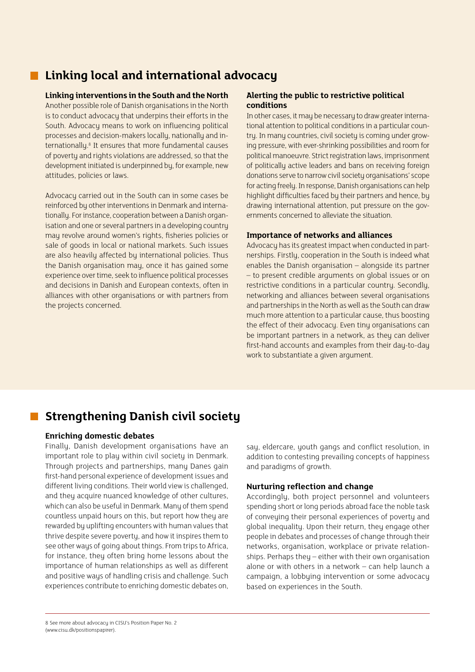## **Linking local and international advocacy**

#### **Linking interventions in the South and the North**

Another possible role of Danish organisations in the North is to conduct advocacy that underpins their efforts in the South. Advocacy means to work on influencing political processes and decision-makers locally, nationally and internationally.<sup>8</sup> It ensures that more fundamental causes of poverty and rights violations are addressed, so that the development initiated is underpinned by, for example, new attitudes, policies or laws.

Advocacy carried out in the South can in some cases be reinforced by other interventions in Denmark and internationally. For instance, cooperation between a Danish organisation and one or several partners in a developing country may revolve around women's rights, fisheries policies or sale of goods in local or national markets. Such issues are also heavily affected by international policies. Thus the Danish organisation may, once it has gained some experience over time, seek to influence political processes and decisions in Danish and European contexts, often in alliances with other organisations or with partners from the projects concerned.

#### **Alerting the public to restrictive political conditions**

In other cases, it may be necessary to draw greater international attention to political conditions in a particular country. In many countries, civil society is coming under growing pressure, with ever-shrinking possibilities and room for political manoeuvre. Strict registration laws, imprisonment of politically active leaders and bans on receiving foreign donations serve to narrow civil society organisations' scope for acting freely. In response, Danish organisations can help highlight difficulties faced by their partners and hence, by drawing international attention, put pressure on the governments concerned to alleviate the situation.

#### **Importance of networks and alliances**

Advocacy has its greatest impact when conducted in partnerships. Firstly, cooperation in the South is indeed what enables the Danish organisation – alongside its partner – to present credible arguments on global issues or on restrictive conditions in a particular country. Secondly, networking and alliances between several organisations and partnerships in the North as well as the South can draw much more attention to a particular cause, thus boosting the effect of their advocacy. Even tiny organisations can be important partners in a network, as they can deliver first-hand accounts and examples from their day-to-day work to substantiate a given argument.

## **Strengthening Danish civil society**

#### **Enriching domestic debates**

Finally, Danish development organisations have an important role to play within civil society in Denmark. Through projects and partnerships, many Danes gain first-hand personal experience of development issues and different living conditions. Their world view is challenged, and they acquire nuanced knowledge of other cultures, which can also be useful in Denmark. Many of them spend countless unpaid hours on this, but report how they are rewarded by uplifting encounters with human values that thrive despite severe poverty, and how it inspires them to see other ways of going about things. From trips to Africa, for instance, they often bring home lessons about the importance of human relationships as well as different and positive ways of handling crisis and challenge. Such experiences contribute to enriching domestic debates on, say, eldercare, youth gangs and conflict resolution, in addition to contesting prevailing concepts of happiness and paradigms of growth.

#### **Nurturing reflection and change**

Accordingly, both project personnel and volunteers spending short or long periods abroad face the noble task of conveying their personal experiences of poverty and global inequality. Upon their return, they engage other people in debates and processes of change through their networks, organisation, workplace or private relationships. Perhaps they – either with their own organisation alone or with others in a network – can help launch a campaign, a lobbying intervention or some advocacy based on experiences in the South.

<sup>8</sup> See more about advocacy in CISU's Position Paper No. 2 (www.cisu.dk/positionspapirer).